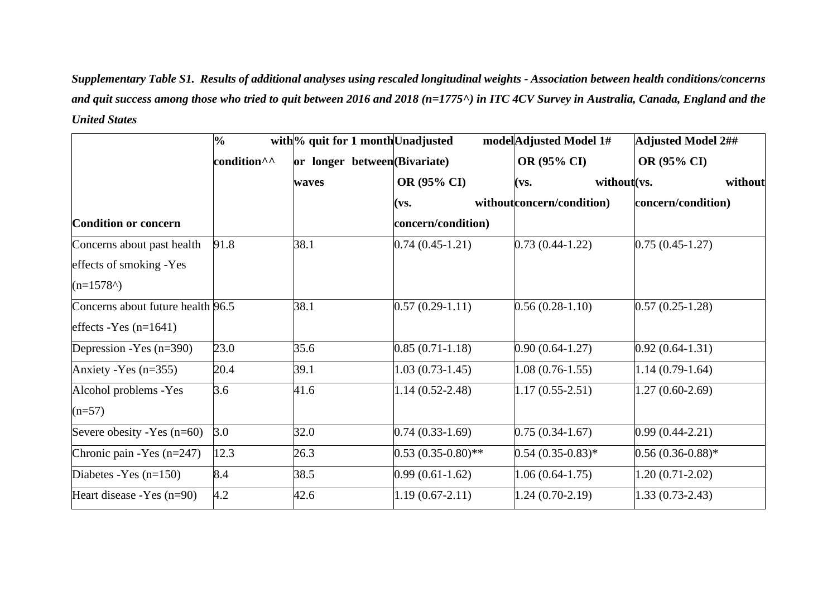*Supplementary Table S1. Results of additional analyses using rescaled longitudinal weights - Association between health conditions/concerns and quit success among those who tried to quit between 2016 and 2018 (n=1775^) in ITC 4CV Survey in Australia, Canada, England and the United States*

|                                   | $\frac{1}{2}$           | with <sup>ol</sup> quit for 1 month Unadjusted |                      | model Adjusted Model 1#   | <b>Adjusted Model 2##</b> |
|-----------------------------------|-------------------------|------------------------------------------------|----------------------|---------------------------|---------------------------|
|                                   | condition <sup>^^</sup> | or longer between (Bivariate)                  |                      | OR (95% CI)               | OR (95% CI)               |
|                                   |                         | waves                                          | <b>OR (95% CI)</b>   | without (vs.<br>(vs.      | without                   |
|                                   |                         |                                                | (vs.                 | withoutconcern/condition) | concern/condition)        |
| <b>Condition or concern</b>       |                         |                                                | concern/condition)   |                           |                           |
| Concerns about past health        | 91.8                    | 38.1                                           | $0.74(0.45-1.21)$    | $0.73(0.44-1.22)$         | $0.75(0.45-1.27)$         |
| effects of smoking -Yes           |                         |                                                |                      |                           |                           |
| $(n=1578)$                        |                         |                                                |                      |                           |                           |
| Concerns about future health 96.5 |                         | 38.1                                           | $0.57(0.29-1.11)$    | $0.56(0.28-1.10)$         | $0.57(0.25-1.28)$         |
| effects - Yes $(n=1641)$          |                         |                                                |                      |                           |                           |
| Depression - Yes $(n=390)$        | 23.0                    | 35.6                                           | $0.85(0.71-1.18)$    | $0.90(0.64-1.27)$         | $0.92(0.64-1.31)$         |
| Anxiety - Yes $(n=355)$           | 20.4                    | 39.1                                           | $1.03(0.73-1.45)$    | $1.08(0.76-1.55)$         | $1.14(0.79-1.64)$         |
| Alcohol problems - Yes            | 3.6                     | 41.6                                           | $1.14(0.52 - 2.48)$  | $1.17(0.55-2.51)$         | $1.27(0.60-2.69)$         |
| $(n=57)$                          |                         |                                                |                      |                           |                           |
| Severe obesity - Yes $(n=60)$     | 3.0                     | 32.0                                           | $0.74(0.33-1.69)$    | $0.75(0.34-1.67)$         | $0.99(0.44 - 2.21)$       |
| Chronic pain - Yes $(n=247)$      | 12.3                    | 26.3                                           | $0.53(0.35-0.80)$ ** | $0.54(0.35-0.83)^{*}$     | $0.56(0.36-0.88)$ *       |
| Diabetes - Yes $(n=150)$          | 8.4                     | 38.5                                           | $0.99(0.61-1.62)$    | $1.06(0.64-1.75)$         | $1.20(0.71-2.02)$         |
| Heart disease - Yes $(n=90)$      | 4.2                     | 42.6                                           | $1.19(0.67 - 2.11)$  | 1.24 (0.70-2.19)          | $1.33(0.73-2.43)$         |